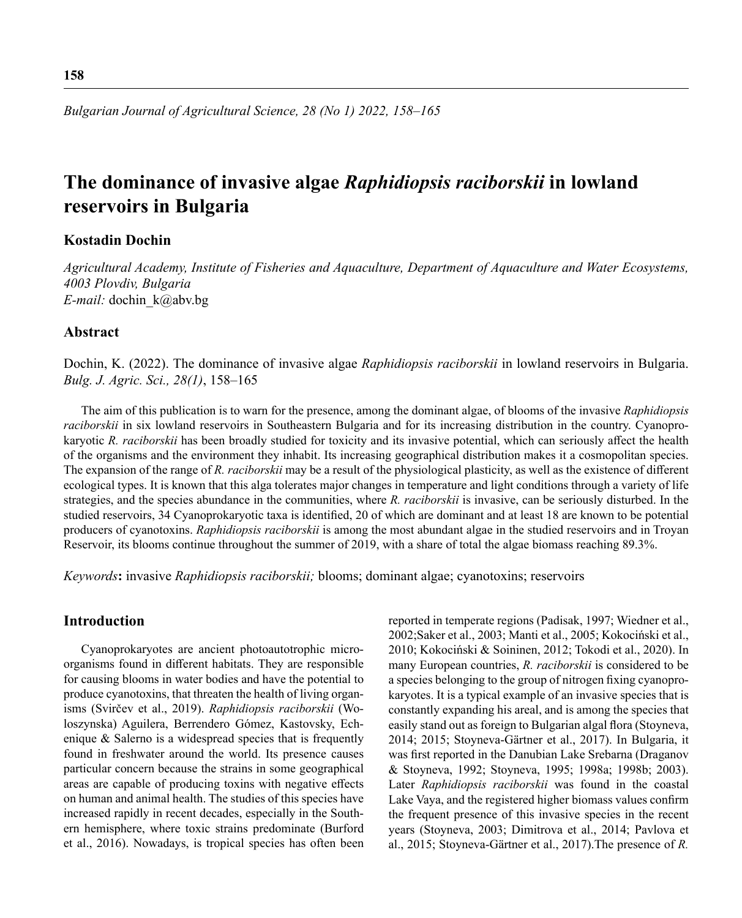# **The dominance of invasive algae** *Raphidiopsis raciborskii* **in lowland reservoirs in Bulgaria**

# **Kostadin Dochin**

*Agricultural Academy, Institute of Fisheries and Aquaculture, Department of Aquaculture and Water Ecosystems, 4003 Plovdiv, Bulgaria E-mail:* dochin\_k@abv.bg

# **Abstract**

Dochin, K. (2022). The dominance of invasive algae *Raphidiopsis raciborskii* in lowland reservoirs in Bulgaria. *Bulg. J. Agric. Sci., 28(1)*, 158–165

The aim of this publication is to warn for the presence, among the dominant algae, of blooms of the invasive *Raphidiopsis raciborskii* in six lowland reservoirs in Southeastern Bulgaria and for its increasing distribution in the country. Cyanoprokaryotic *R. raciborskii* has been broadly studied for toxicity and its invasive potential, which can seriously affect the health of the organisms and the environment they inhabit. Its increasing geographical distribution makes it a cosmopolitan species. The expansion of the range of *R. raciborskii* may be a result of the physiological plasticity, as well as the existence of different ecological types. It is known that this alga tolerates major changes in temperature and light conditions through a variety of life strategies, and the species abundance in the communities, where *R. raciborskii* is invasive, can be seriously disturbed. In the studied reservoirs, 34 Cyanoprokaryotic taxa is identified, 20 of which are dominant and at least 18 are known to be potential producers of cyanotoxins. *Raphidiopsis raciborskii* is among the most abundant algae in the studied reservoirs and in Troyan Reservoir, its blooms continue throughout the summer of 2019, with a share of total the algae biomass reaching 89.3%.

*Keywords***:** invasive *Raphidiopsis raciborskii;* blooms; dominant algae; cyanotoxins; reservoirs

# **Introduction**

Cyanoprokaryotes are ancient photoautotrophic microorganisms found in different habitats. They are responsible for causing blooms in water bodies and have the potential to produce cyanotoxins, that threaten the health of living organisms (Svirčev et al., 2019). *Raphidiopsis raciborskii* (Woloszynska) Aguilera, Berrendero Gómez, Kastovsky, Echenique & Salerno is a widespread species that is frequently found in freshwater around the world. Its presence causes particular concern because the strains in some geographical areas are capable of producing toxins with negative effects on human and animal health. The studies of this species have increased rapidly in recent decades, especially in the Southern hemisphere, where toxic strains predominate (Burford et al., 2016). Nowadays, is tropical species has often been reported in temperate regions (Padisak, 1997; Wiedner et al., 2002;Saker et al., 2003; Manti et al., 2005; Kokociński et al., 2010; Kokociński & Soininen, 2012; Tokodi et al., 2020). In many European countries, *R. raciborskii* is considered to be a species belonging to the group of nitrogen fixing cyanoprokaryotes. It is a typical example of an invasive species that is constantly expanding his areal, and is among the species that easily stand out as foreign to Bulgarian algal flora (Stoyneva, 2014; 2015; Stoyneva-Gärtner et al., 2017). In Bulgaria, it was first reported in the Danubian Lake Srebarna (Draganov & Stoyneva, 1992; Stoyneva, 1995; 1998a; 1998b; 2003). Later *Raphidiopsis raciborskii* was found in the coastal Lake Vaya, and the registered higher biomass values confirm the frequent presence of this invasive species in the recent years (Stoyneva, 2003; Dimitrova et al., 2014; Pavlova et al., 2015; Stoyneva-Gärtner et al., 2017).The presence of *R.*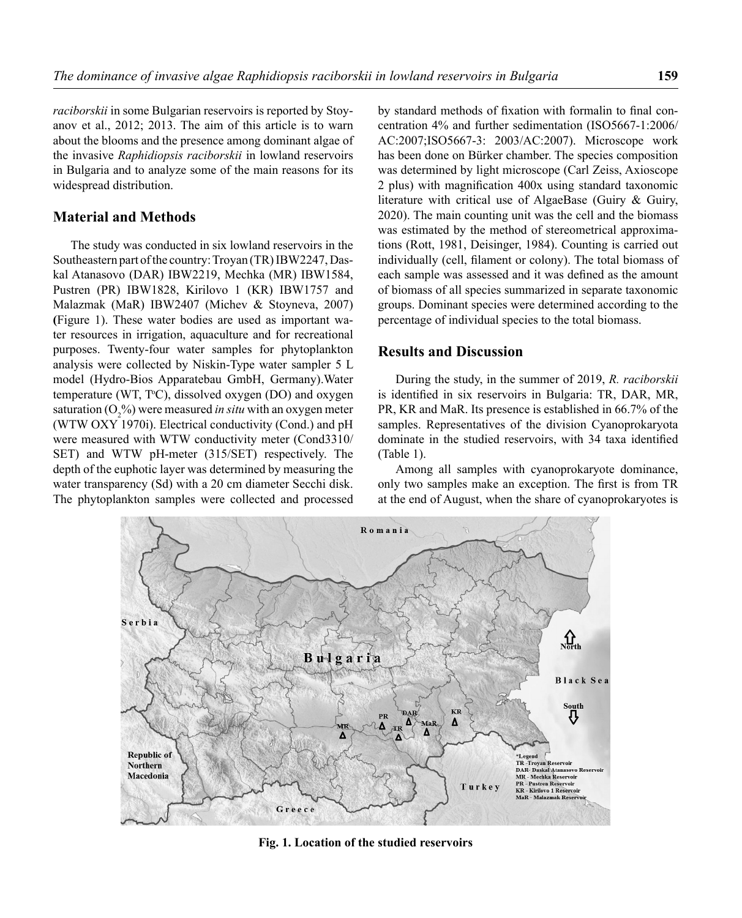*raciborskii* in some Bulgarian reservoirs is reported by Stoyanov et al., 2012; 2013. The aim of this article is to warn about the blooms and the presence among dominant algae of the invasive *Raphidiopsis raciborskii* in lowland reservoirs in Bulgaria and to analyze some of the main reasons for its widespread distribution.

#### **Material and Methods**

The study was conducted in six lowland reservoirs in the Southeastern part of the country: Troyan (TR) IBW2247, Daskal Atanasovo (DAR) IBW2219, Mechka (MR) IBW1584, Pustren (PR) IBW1828, Kirilovo 1 (KR) IBW1757 and Malazmak (MaR) IBW2407 (Michev & Stoyneva, 2007) **(**Figure 1). These water bodies are used as important water resources in irrigation, aquaculture and for recreational purposes. Twenty-four water samples for phytoplankton analysis were collected by Niskin-Type water sampler 5 L model (Hydro-Bios Apparatebau GmbH, Germany).Water temperature (WT, T°C), dissolved oxygen (DO) and oxygen saturation (O<sub>2</sub>%) were measured *in situ* with an oxygen meter (WTW OXY 1970i). Electrical conductivity (Cond.) and рН were measured with WTW conductivity meter (Cond3310/ SET) and WTW pH-meter (315/SET) respectively. The depth of the euphotic layer was determined by measuring the water transparency (Sd) with a 20 cm diameter Secchi disk. The phytoplankton samples were collected and processed

by standard methods of fixation with formalin to final concentration 4% and further sedimentation (ISO5667-1:2006/ AC:2007;ISO5667-3: 2003/AC:2007). Microscope work has been done on Bürker chamber. The species composition was determined by light microscope (Carl Zeiss, Axioscope 2 plus) with magnification 400x using standard taxonomic literature with critical use of AlgaeBase (Guiry & Guiry, 2020). The main counting unit was the cell and the biomass was estimated by the method of stereometrical approximations (Rott, 1981, Deisinger, 1984). Counting is carried out individually (cell, filament or colony). The total biomass of each sample was assessed and it was defined as the amount of biomass of all species summarized in separate taxonomic groups. Dominant species were determined according to the percentage of individual species to the total biomass.

# **Results and Discussion**

During the study, in the summer of 2019, *R. raciborskii*  is identified in six reservoirs in Bulgaria: TR, DAR, MR, PR, KR and MaR. Its presence is established in 66.7% of the samples. Representatives of the division Cyanoprokaryota dominate in the studied reservoirs, with 34 taxa identified (Table 1).

Among all samples with cyanoprokaryote dominance, only two samples make an exception. The first is from TR at the end of August, when the share of cyanoprokaryotes is



**Fig. 1. Location of the studied reservoirs**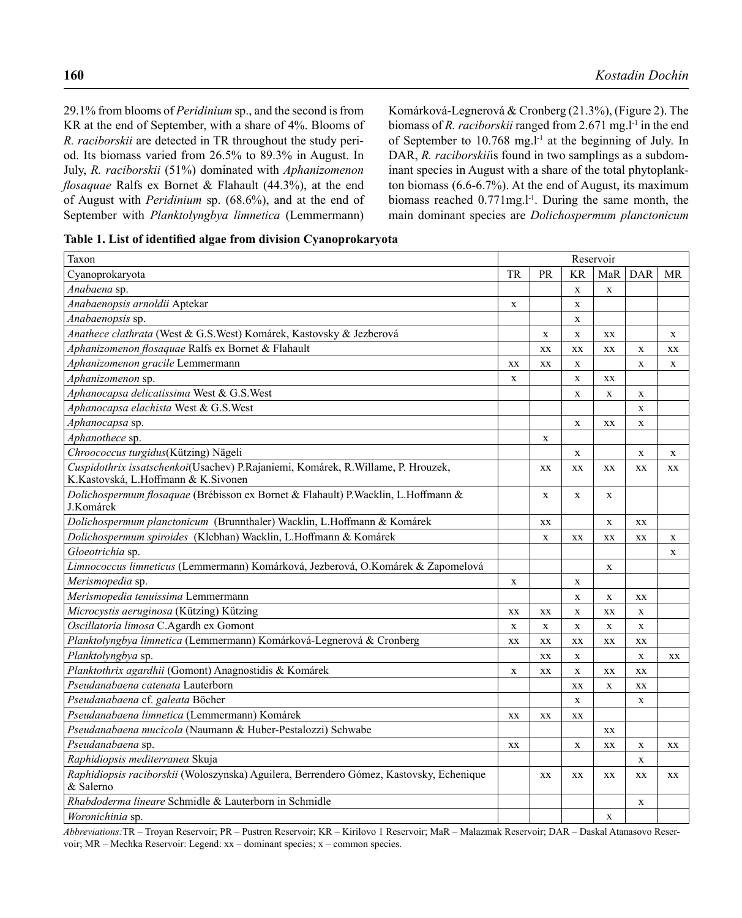29.1% from blooms of *Peridinium* sp., and the second is from KR at the end of September, with a share of 4%. Blooms of *R. raciborskii* are detected in TR throughout the study period. Its biomass varied from 26.5% to 89.3% in August. In July, *R. raciborskii* (51%) dominated with *Aphanizomenon flosaquae* Ralfs ex Bornet & Flahault (44.3%), at the end of August with *Peridinium* sp. (68.6%), and at the end of September with *Planktolyngbya limnetica* (Lemmermann)

Komárková-Legnerová & Cronberg (21.3%), (Figure 2). The biomass of *R. raciborskii* ranged from 2.671 mg.<sup>1-1</sup> in the end of September to 10.768 mg.l<sup>-1</sup> at the beginning of July. In DAR, *R. raciborskii*is found in two samplings as a subdominant species in August with a share of the total phytoplankton biomass (6.6-6.7%). At the end of August, its maximum biomass reached 0.771mg.l<sup>-1</sup>. During the same month, the main dominant species are *Dolichospermum planctonicum* 

| Taxon                                                                                                                   |             |             |              | Reservoir   |             |             |
|-------------------------------------------------------------------------------------------------------------------------|-------------|-------------|--------------|-------------|-------------|-------------|
| Cyanoprokaryota                                                                                                         | TR          | <b>PR</b>   | KR           | MaR         | DAR         | MR          |
| Anabaena sp.                                                                                                            |             |             | $\mathbf X$  | X           |             |             |
| Anabaenopsis arnoldii Aptekar                                                                                           | X           |             | $\mathbf X$  |             |             |             |
| Anabaenopsis sp.                                                                                                        |             |             | $\mathbf X$  |             |             |             |
| Anathece clathrata (West & G.S.West) Komárek, Kastovsky & Jezberová                                                     |             | $\mathbf x$ | $\mathbf x$  | XX          |             | $\mathbf x$ |
| Aphanizomenon flosaquae Ralfs ex Bornet & Flahault                                                                      |             | XX          | XX           | XX          | $\mathbf X$ | XX          |
| Aphanizomenon gracile Lemmermann                                                                                        | XX          | XX          | $\mathbf X$  |             | $\mathbf x$ | $\mathbf X$ |
| Aphanizomenon sp.                                                                                                       | $\mathbf X$ |             | $\mathbf X$  | XX          |             |             |
| Aphanocapsa delicatissima West & G.S.West                                                                               |             |             | $\mathbf x$  | $\mathbf x$ | $\mathbf X$ |             |
| Aphanocapsa elachista West & G.S.West                                                                                   |             |             |              |             | $\mathbf x$ |             |
| Aphanocapsa sp.                                                                                                         |             |             | $\mathbf X$  | XX          | $\mathbf X$ |             |
| Aphanothece sp.                                                                                                         |             | $\mathbf X$ |              |             |             |             |
| Chroococcus turgidus(Kützing) Nägeli                                                                                    |             |             | $\mathbf{X}$ |             | $\mathbf X$ | $\mathbf X$ |
| Cuspidothrix issatschenkoi(Usachev) P.Rajaniemi, Komárek, R.Willame, P. Hrouzek,<br>K.Kastovská, L.Hoffmann & K.Sivonen |             | XX          | XX           | XX          | XX          | XX          |
| Dolichospermum flosaquae (Brébisson ex Bornet & Flahault) P. Wacklin, L. Hoffmann &<br>J.Komárek                        |             | $\mathbf X$ | X            | X           |             |             |
| Dolichospermum planctonicum (Brunnthaler) Wacklin, L.Hoffmann & Komárek                                                 |             | XX          |              | $\mathbf X$ | XX          |             |
| Dolichospermum spiroides (Klebhan) Wacklin, L.Hoffmann & Komárek                                                        |             | $\mathbf X$ | XX           | XX          | XX          | $\mathbf X$ |
| Gloeotrichia sp.                                                                                                        |             |             |              |             |             | $\mathbf X$ |
| Limnococcus limneticus (Lemmermann) Komárková, Jezberová, O.Komárek & Zapomelová                                        |             |             |              | X           |             |             |
| Merismopedia sp.                                                                                                        | X           |             | X            |             |             |             |
| Merismopedia tenuissima Lemmermann                                                                                      |             |             | X            | $\mathbf X$ | XX          |             |
| Microcystis aeruginosa (Kützing) Kützing                                                                                | XX          | XX          | $\mathbf X$  | XX          | $\mathbf X$ |             |
| Oscillatoria limosa C.Agardh ex Gomont                                                                                  | $\mathbf X$ | $\mathbf X$ | $\mathbf X$  | $\mathbf X$ | $\mathbf x$ |             |
| Planktolyngbya limnetica (Lemmermann) Komárková-Legnerová & Cronberg                                                    | XX          | XX          | XX           | XX          | XX          |             |
| Planktolyngbya sp.                                                                                                      |             | XX          | $\mathbf{X}$ |             | X           | XX          |
| Planktothrix agardhii (Gomont) Anagnostidis & Komárek                                                                   | $\mathbf x$ | XX          | $\mathbf x$  | XX          | XX          |             |
| Pseudanabaena catenata Lauterborn                                                                                       |             |             | XX           | $\mathbf X$ | XX          |             |
| Pseudanabaena cf. galeata Böcher                                                                                        |             |             | $\mathbf{X}$ |             | $\mathbf x$ |             |
| Pseudanabaena limnetica (Lemmermann) Komárek                                                                            | XX          | XX          | XX           |             |             |             |
| Pseudanabaena mucicola (Naumann & Huber-Pestalozzi) Schwabe                                                             |             |             |              | XX          |             |             |
| Pseudanabaena sp.                                                                                                       | XX          |             | $\mathbf X$  | XX          | $\mathbf X$ | XX          |
| Raphidiopsis mediterranea Skuja                                                                                         |             |             |              |             | X           |             |
| Raphidiopsis raciborskii (Woloszynska) Aguilera, Berrendero Gómez, Kastovsky, Echenique<br>& Salerno                    |             | XX          | XX           | XX          | XX          | XX          |
| Rhabdoderma lineare Schmidle & Lauterborn in Schmidle                                                                   |             |             |              |             | X           |             |
| Woronichinia sp.                                                                                                        |             |             |              | X           |             |             |

*Abbreviations:*TR – Troyan Reservoir; PR – Pustren Reservoir; KR – Kirilovo 1 Reservoir; MaR – Malazmak Reservoir; DAR – Daskal Atanasovo Reservoir; MR – Mechka Reservoir: Legend: xx – dominant species; x – common species.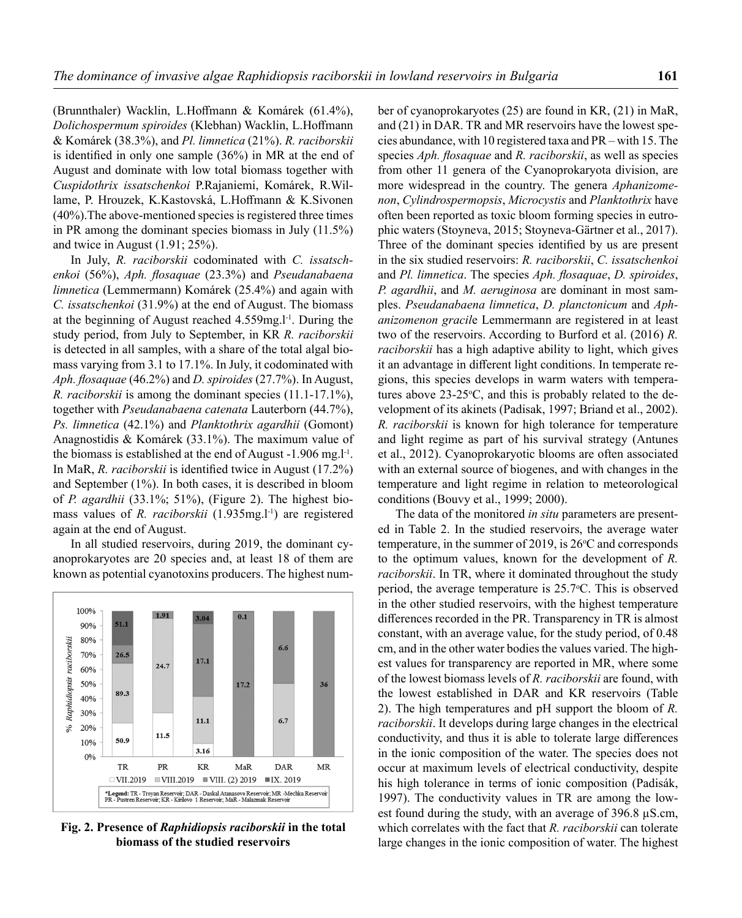(Brunnthaler) Wacklin, L.Hoffmann & Komárek (61.4%), *Dolichospermum spiroides* (Klebhan) Wacklin, L.Hoffmann & Komárek (38.3%), and *Pl. limnetica* (21%). *R. raciborskii*  is identified in only one sample (36%) in MR at the end of August and dominate with low total biomass together with *Cuspidothrix issatschenkoi* P.Rajaniemi, Komárek, R.Willame, P. Hrouzek, K.Kastovská, L.Hoffmann & K.Sivonen (40%).The above-mentioned species is registered three times in PR among the dominant species biomass in July (11.5%) and twice in August (1.91; 25%).

In July, *R. raciborskii* codominated with *C. issatschenkoi* (56%), *Aph. flosaquae* (23.3%) and *Pseudanabaena limnetica* (Lemmermann) Komárek (25.4%) and again with *C. issatschenkoi* (31.9%) at the end of August. The biomass at the beginning of August reached 4.559mg.l-1. During the study period, from July to September, in KR *R. raciborskii*  is detected in all samples, with a share of the total algal biomass varying from 3.1 to 17.1%. In July, it codominated with *Aph. flosaquae* (46.2%) and *D. spiroides* (27.7%). In August, *R. raciborskii* is among the dominant species (11.1-17.1%), together with *Pseudanabaena catenata* Lauterborn (44.7%), *Ps. limnetica* (42.1%) and *Planktothrix agardhii* (Gomont) Anagnostidis & Komárek (33.1%). The maximum value of the biomass is established at the end of August -1.906 mg.l<sup>-1</sup>. In MaR, *R. raciborskii* is identified twice in August (17.2%) and September (1%). In both cases, it is described in bloom of *P. agardhii* (33.1%; 51%), (Figure 2). The highest biomass values of *R. raciborskii* (1.935mg.l<sup>-1</sup>) are registered again at the end of August.

In all studied reservoirs, during 2019, the dominant cyanoprokaryotes are 20 species and, at least 18 of them are known as potential cyanotoxins producers. The highest num-



**Fig. 2. Presence of** *Raphidiopsis raciborskii* **in the total biomass of the studied reservoirs**

ber of cyanoprokaryotes (25) are found in KR, (21) in MaR, and (21) in DAR. TR and MR reservoirs have the lowest species abundance, with 10 registered taxa and PR – with 15. The species *Aph. flosaquae* and *R. raciborskii*, as well as species from other 11 genera of the Cyanoprokaryota division, are more widespread in the country. The genera *Aphanizomenon*, *Cylindrospermopsis*, *Microcystis* and *Planktothrix* have often been reported as toxic bloom forming species in eutrophic waters (Stoyneva, 2015; Stoyneva-Gärtner et al., 2017). Three of the dominant species identified by us are present in the six studied reservoirs: *R. raciborskii*, *C. issatschenkoi* and *Pl. limnetica*. The species *Aph. flosaquae*, *D. spiroides*, *P. agardhii*, and *M. aeruginosa* are dominant in most samples. *Pseudanabaena limnetica*, *D. planctonicum* and *Aphanizomenon gracil*e Lemmermann are registered in at least two of the reservoirs. According to Burford et al. (2016) *R. raciborskii* has a high adaptive ability to light, which gives it an advantage in different light conditions. In temperate regions, this species develops in warm waters with temperatures above  $23\n-25$ °C, and this is probably related to the development of its akinets (Padisak, 1997; Briand et al., 2002). *R. raciborskii* is known for high tolerance for temperature and light regime as part of his survival strategy (Antunes et al., 2012). Cyanoprokaryotic blooms are often associated with an external source of biogenes, and with changes in the temperature and light regime in relation to meteorological conditions (Bouvy et al., 1999; 2000).

The data of the monitored *in situ* parameters are presented in Table 2. In the studied reservoirs, the average water temperature, in the summer of 2019, is  $26^{\circ}$ C and corresponds to the optimum values, known for the development of *R. raciborskii*. In TR, where it dominated throughout the study period, the average temperature is 25.7°C. This is observed in the other studied reservoirs, with the highest temperature differences recorded in the PR. Transparency in TR is almost constant, with an average value, for the study period, of 0.48 cm, and in the other water bodies the values varied. The highest values for transparency are reported in MR, where some of the lowest biomass levels of *R. raciborskii* are found, with the lowest established in DAR and KR reservoirs (Table 2). The high temperatures and pH support the bloom of *R. raciborskii*. It develops during large changes in the electrical conductivity, and thus it is able to tolerate large differences in the ionic composition of the water. The species does not occur at maximum levels of electrical conductivity, despite his high tolerance in terms of ionic composition (Padisák, 1997). The conductivity values in TR are among the lowest found during the study, with an average of 396.8 µS.cm, which correlates with the fact that *R. raciborskii* can tolerate large changes in the ionic composition of water. The highest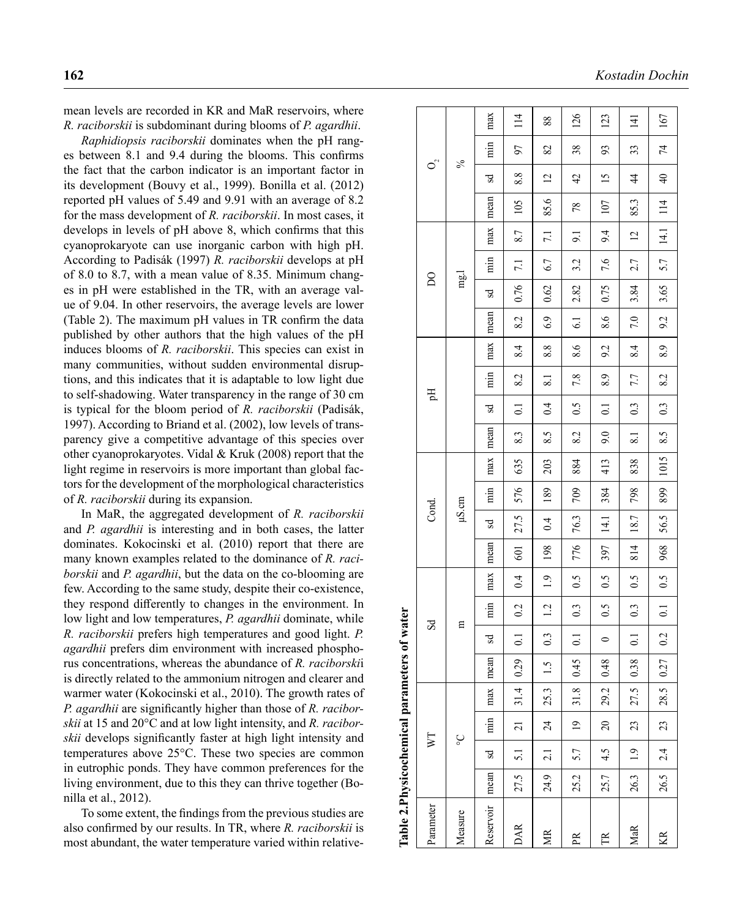mean levels are recorded in KR and MaR reservoirs, where *R. raciborskii* is subdominant during blooms of *P. agardhii* .

*Raphidiopsis raciborskii* dominates when the pH rang es between 8.1 and 9.4 during the blooms. This confirms the fact that the carbon indicator is an important factor in its development (Bouvy et al., 1999). Bonilla et al. (2012) reported pH values of 5.49 and 9.91 with an average of 8.2 for the mass development of *R. raciborskii*. In most cases, it develops in levels of pH above 8, which confirms that this cyanoprokaryote can use inorganic carbon with high pH. According to Padisák (1997) *R. raciborskii* develops at pH of 8.0 to 8.7, with a mean value of 8.35. Minimum chang es in pH were established in the TR, with an average val ue of 9.04. In other reservoirs, the average levels are lower (Table 2). The maximum pH values in TR confirm the data published by other authors that the high values of the pH induces blooms of *R. raciborskii*. This species can exist in many communities, without sudden environmental disrup tions, and this indicates that it is adaptable to low light due to self-shadowing. Water transparency in the range of 30 cm is typical for the bloom period of *R. raciborskii* (Padisák, 1997). According to Briand et al. (2002), low levels of trans parency give a competitive advantage of this species over other cyanoprokaryotes. Vidal & Kruk (2008) report that the light regime in reservoirs is more important than global factors for the development of the morphological characteristics of *R. raciborskii* during its expansion.

In MaR, the aggregated development of *R. raciborskii* and *P. agardhii* is interesting and in both cases, the latter dominates. Kokocinski et al. (2010) report that there are many known examples related to the dominance of *R. raci borskii* and *P. agardhii*, but the data on the co-blooming are few. According to the same study, despite their co-existence, they respond differently to changes in the environment. In low light and low temperatures, *P. agardhii* dominate, while *R. raciborskii* prefers high temperatures and good light. *P. agardhii* prefers dim environment with increased phospho rus concentrations, whereas the abundance of *R. raciborski*i is directly related to the ammonium nitrogen and clearer and warmer water (Kokocinski et al., 2010). The growth rates of *P. agardhii* are significantly higher than those of *R. raciborskii* at 15 and 20°C and at low light intensity, and *R. raciborskii* develops significantly faster at high light intensity and temperatures above 25°C. These two species are common in eutrophic ponds. They have common preferences for the living environment, due to this they can thrive together (Bo nilla et al., 2012).

To some extent, the findings from the previous studies are also confirmed by our results. In TR, where *R. raciborskii* is most abundant, the water temperature varied within relative -

| Table 2.Physicochemical parameters |      |                 |                |            |      | of water            |       |     |            |            |                |      |      |                  |                |     |      |                         |     |                |      |                 |           |                  |
|------------------------------------|------|-----------------|----------------|------------|------|---------------------|-------|-----|------------|------------|----------------|------|------|------------------|----------------|-----|------|-------------------------|-----|----------------|------|-----------------|-----------|------------------|
| Parameter                          |      | $\triangledown$ |                |            |      | $S_{\rm d}$         |       |     |            | Cond.      |                |      |      | Ę                |                |     |      | $\mathsf{D} \mathsf{O}$ |     |                |      | $O^2$           |           |                  |
| Measure                            |      |                 | °              |            |      | 吕                   |       |     |            | $\mu$ S.cm |                |      |      |                  |                |     |      | mg.                     |     |                |      | $\%$            |           |                  |
| Reservoir   mean                   |      | $\mathbf{S}$    | $\frac{1}{2}$  | max   mean |      | R                   | min   | max | mean       | Sd         | $\overline{m}$ | max  | mean | Sd               | $\overline{m}$ | max | mean | S.                      | min | max            | mean | Sd              | $\dot{m}$ | max              |
| <b>DAR</b>                         | 27.5 | 5.1             | $\overline{z}$ | 31.4       | 0.29 | $\overline{0}$ :    | 0.2   | 0.4 | <b>501</b> | 27.5       | 576            | 635  | 8.3  | $\overline{0}$ . | 8.2            | 8.4 | 8.2  | 0.76                    | 7.1 | 8.7            | 105  | 8.8             | 50        | 114              |
| 受                                  | 24.9 | 2.1             | $\frac{4}{3}$  | 25.3       | 1.5  | 0.3                 | 1.2   | 1.9 | 198        | $\ddot{0}$ | 189            | 203  | 8.5  | $\ddot{0}$       | 8.1            | 8.8 | 6.9  | 0.62                    | 6.7 | 7.1            | 85.6 | $\overline{c}$  | 82        | 88               |
| PR                                 | 25.2 | 5.7             | $\overline{9}$ | 31.8       | 0.45 | $\Xi$               | 0.3   | 0.5 | 776        | 76.3       | 709            | 884  | 8.2  | 0.5              | 7.8            | 8.6 | 6.1  | 2.82                    | 3.2 | $\overline{5}$ | 78   | $\overline{4}$  | 38        | 126              |
| E                                  | 25.7 | 4.5             | $\approx$      | 29.2       | 0.48 | $\circ$             | 0.5   | 0.5 | 397        | 14.1       | 384            | 413  | 9.0  | $\overline{C}$   | 8.9            | 9.2 | 8.6  | 0.75                    | 7.6 | 9.4            | 107  | $\overline{15}$ | 93        | 123              |
| MaR                                | 26.3 | $\ddot{0}$      | $\mathfrak{Z}$ | 27.5       | 0.38 | $\overline{\omega}$ | 0.3   | 0.5 | 814        | 18.7       | 798            | 838  | 8.1  | 0.3              | 7.7            | 8.4 | 7.0  | 3.84                    | 2.7 | $\overline{c}$ | 85.3 | $\overline{4}$  | 33        | $\overline{141}$ |
| KR                                 | 26.5 | 2.4             | $\mathfrak{Z}$ | 28.5       | 0.27 | 0.2                 | $\Xi$ | 0.5 | 968        | 56.5       | 899            | 1015 | 8.5  | 0.3              | 8.2            | 8.9 | 9.2  | 3.65                    | 5.7 | 14.1           | 114  | $\overline{4}$  | 74        | 167              |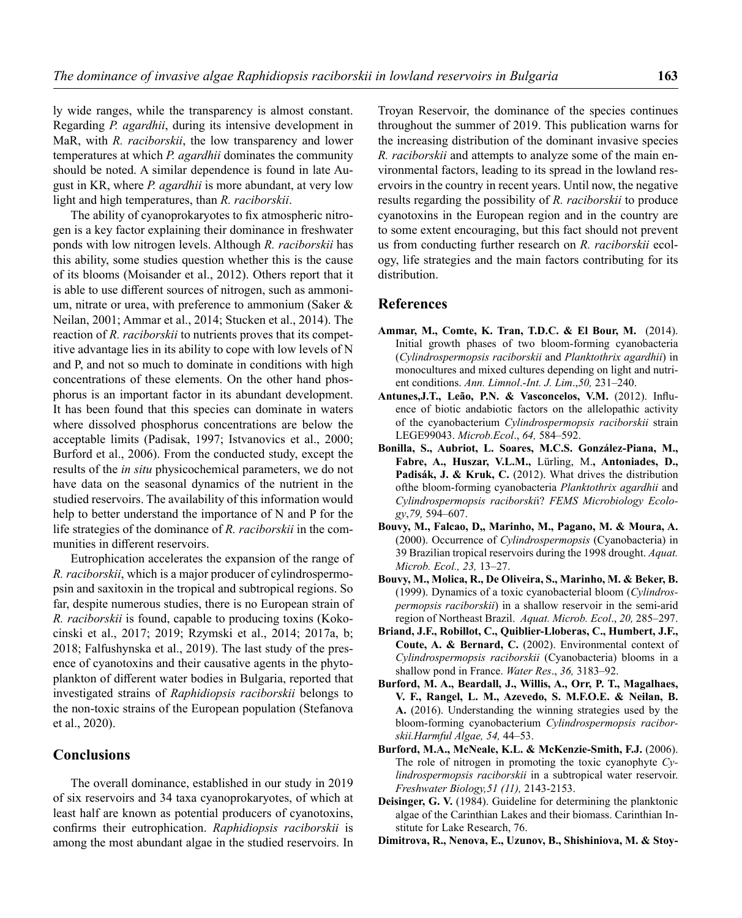ly wide ranges, while the transparency is almost constant. Regarding *P. agardhii*, during its intensive development in MaR, with *R. raciborskii*, the low transparency and lower temperatures at which *P. agardhii* dominates the community should be noted. A similar dependence is found in late August in KR, where *P. agardhii* is more abundant, at very low light and high temperatures, than *R. raciborskii*.

The ability of cyanoprokaryotes to fix atmospheric nitrogen is a key factor explaining their dominance in freshwater ponds with low nitrogen levels. Although *R. raciborskii* has this ability, some studies question whether this is the cause of its blooms (Moisander et al., 2012). Others report that it is able to use different sources of nitrogen, such as ammonium, nitrate or urea, with preference to ammonium (Saker & Neilan, 2001; Ammar et al., 2014; Stucken et al., 2014). The reaction of *R. raciborskii* to nutrients proves that its competitive advantage lies in its ability to cope with low levels of N and P, and not so much to dominate in conditions with high concentrations of these elements. On the other hand phosphorus is an important factor in its abundant development. It has been found that this species can dominate in waters where dissolved phosphorus concentrations are below the acceptable limits (Padisak, 1997; Istvanovics et al., 2000; Burford et al., 2006). From the conducted study, except the results of the *in situ* physicochemical parameters, we do not have data on the seasonal dynamics of the nutrient in the studied reservoirs. The availability of this information would help to better understand the importance of N and P for the life strategies of the dominance of *R. raciborskii* in the communities in different reservoirs.

Eutrophication accelerates the expansion of the range of *R. raciborskii*, which is a major producer of cylindrospermopsin and saxitoxin in the tropical and subtropical regions. So far, despite numerous studies, there is no European strain of *R. raciborskii* is found, capable to producing toxins (Kokocinski et al., 2017; 2019; Rzymski et al., 2014; 2017a, b; 2018; Falfushynska et al., 2019). The last study of the presence of cyanotoxins and their causative agents in the phytoplankton of different water bodies in Bulgaria, reported that investigated strains of *Raphidiopsis raciborskii* belongs to the non-toxic strains of the European population (Stefanova et al., 2020).

#### **Conclusions**

The overall dominance, established in our study in 2019 of six reservoirs and 34 taxa cyanoprokaryotes, of which at least half are known as potential producers of cyanotoxins, confirms their eutrophication. *Raphidiopsis raciborskii* is among the most abundant algae in the studied reservoirs. In Troyan Reservoir, the dominance of the species continues throughout the summer of 2019. This publication warns for the increasing distribution of the dominant invasive species *R. raciborskii* and attempts to analyze some of the main environmental factors, leading to its spread in the lowland reservoirs in the country in recent years. Until now, the negative results regarding the possibility of *R. raciborskii* to produce cyanotoxins in the European region and in the country are to some extent encouraging, but this fact should not prevent us from conducting further research on *R. raciborskii* ecology, life strategies and the main factors contributing for its distribution.

#### **References**

- **Ammar, M., Comte, K. Tran, T.D.C. & El Bour, M.** (2014). Initial growth phases of two bloom-forming cyanobacteria (*Cylindrospermopsis raciborskii* and *Planktothrix agardhii*) in monocultures and mixed cultures depending on light and nutrient conditions. *Ann. Limnol*.-*Int. J. Lim*.,*50,* 231–240.
- **Antunes,J.T., Leão, P.N. & Vasconcelos, V.M.** (2012). Influence of biotic andabiotic factors on the allelopathic activity of the cyanobacterium *Cylindrospermopsis raciborskii* strain LEGE99043. *Microb.Ecol*., *64,* 584–592.
- **Bonilla, S., Aubriot, L. Soares, M.C.S. González-Piana, M., Fabre, A., Huszar, V.L.M.,** Lürling, M.**, Antoniades, D., Padisák, J. & Kruk, C.** (2012). What drives the distribution ofthe bloom-forming cyanobacteria *Planktothrix agardhii* and *Cylindrospermopsis raciborski*i? *FEMS Microbiology Ecology*,*79,* 594–607.
- **Bouvy, M., Falcao, D,, Marinho, M., Pagano, M. & Moura, A.** (2000). Occurrence of *Cylindrospermopsis* (Cyanobacteria) in 39 Brazilian tropical reservoirs during the 1998 drought. *Aquat. Microb. Ecol., 23,* 13–27.
- **Bouvy, M., Molica, R., De Oliveira, S., Marinho, M. & Beker, B.** (1999). Dynamics of a toxic cyanobacterial bloom (*Cylindrospermopsis raciborskii*) in a shallow reservoir in the semi-arid region of Northeast Brazil. *Aquat. Microb. Ecol*., *20,* 285–297.
- **Briand, J.F., Robillot, C., Quiblier-Lloberas, C., Humbert, J.F., Coute, A. & Bernard, C.** (2002). Environmental context of *Cylindrospermopsis raciborskii* (Cyanobacteria) blooms in a shallow pond in France. *Water Res*., *36,* 3183–92.
- **Burford, M. A., Beardall, J., Willis, A., Orr, P. T., Magalhaes, V. F., Rangel, L. M., Azevedo, S. M.F.O.E. & Neilan, B. A.** (2016). Understanding the winning strategies used by the bloom-forming cyanobacterium *Cylindrospermopsis raciborskii.Harmful Algae, 54,* 44–53.
- **Burford, M.A., McNeale, K.L. & McKenzie-Smith, F.J.** (2006). The role of nitrogen in promoting the toxic cyanophyte *Cylindrospermopsis raciborskii* in a subtropical water reservoir. *Freshwater Biology,51 (11),* 2143-2153.
- **Deisinger, G. V.** (1984). Guideline for determining the planktonic algae of the Carinthian Lakes and their biomass. Carinthian Institute for Lake Research, 76.
- **Dimitrova, R., Nenova, E., Uzunov, B., Shishiniova, M. & Stoy-**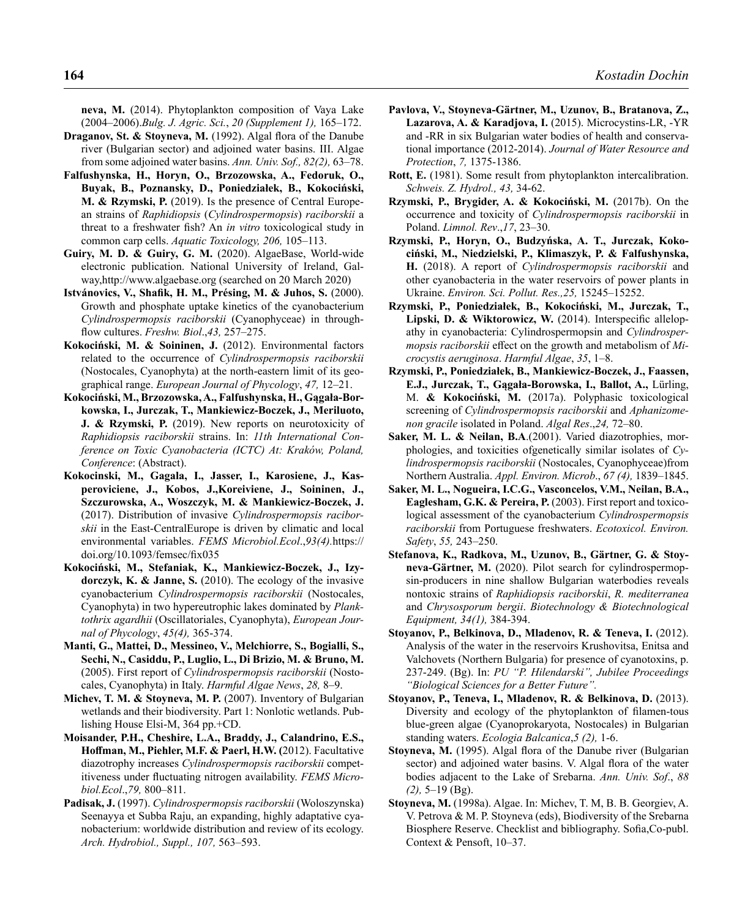**neva, M.** (2014). Phytoplankton composition of Vaya Lake (2004–2006).*Bulg. J. Agric. Sci.*, *20 (Supplement 1),* 165–172.

- **Draganov, St. & Stoyneva, M.** (1992). Algal flora of the Danube river (Bulgarian sector) and adjoined water basins. III. Algae from some adjoined water basins. *Ann. Univ. Sof., 82(2),* 63–78.
- **Falfushynska, H., Horyn, O., Brzozowska, A., Fedoruk, O., Buyak, B., Poznansky, D., Poniedziałek, B., Kokociński, M. & Rzymski, P.** (2019). Is the presence of Central European strains of *Raphidiopsis* (*Cylindrospermopsis*) *raciborskii* a threat to a freshwater fish? An *in vitro* toxicological study in common carp cells. *Aquatic Toxicology, 206,* 105–113.
- **Guiry, M. D. & Guiry, G. M.** (2020). AlgaeBase, World-wide electronic publication. National University of Ireland, Galway,http://www.algaebase.org (searched on 20 March 2020)
- **Istvánovics, V., Shafik, H. M., Présing, M. & Juhos, S.** (2000). Growth and phosphate uptake kinetics of the cyanobacterium *Cylindrospermopsis raciborskii* (Cyanophyceae) in throughflow cultures. *Freshw. Biol*.,*43,* 257–275.
- **Kokociński, M. & Soininen, J.** (2012). Environmental factors related to the occurrence of *Cylindrospermopsis raciborskii* (Nostocales, Cyanophyta) at the north-eastern limit of its geographical range. *European Journal of Phycology*, *47,* 12–21.
- **Kokociński, M., Brzozowska, A., Falfushynska, H., Gągała-Borkowska, I., Jurczak, T., Mankiewicz-Boczek, J., Meriluoto, J. & Rzymski, P.** (2019). New reports on neurotoxicity of *Raphidiopsis raciborskii* strains. In: *11th International Conference on Toxic Cyanobacteria (ICTC) At: Kraków, Poland, Conference*: (Abstract).
- **Kokocinski, M., Gagala, I., Jasser, I., Karosiene, J., Kasperoviciene, J., Kobos, J.,Koreiviene, J., Soininen, J., Szczurowska, A., Woszczyk, M. & Mankiewicz-Boczek, J.** (2017). Distribution of invasive *Cylindrospermopsis raciborskii* in the East-CentralEurope is driven by climatic and local environmental variables. *FEMS Microbiol.Ecol*.,*93(4).*https:// doi.org/10.1093/femsec/fix035
- **Kokociński, M., Stefaniak, K., Mankiewicz-Boczek, J., Izydorczyk, K. & Janne, S.** (2010). The ecology of the invasive cyanobacterium *Cylindrospermopsis raciborskii* (Nostocales, Cyanophyta) in two hypereutrophic lakes dominated by *Planktothrix agardhii* (Oscillatoriales, Cyanophyta), *European Journal of Phycology*, *45(4),* 365-374.
- **Manti, G., Mattei, D., Messineo, V., Melchiorre, S., Bogialli, S., Sechi, N., Casiddu, P., Luglio, L., Di Brizio, M. & Bruno, M.** (2005). First report of *Cylindrospermopsis raciborskii* (Nostocales, Cyanophyta) in Italy. *Harmful Algae News*, *28,* 8–9.
- Michev, T. M. & Stoyneva, M. P. (2007). Inventory of Bulgarian wetlands and their biodiversity. Part 1: Nonlotic wetlands. Publishing House Elsi-M, 364 pp.+CD.
- **Moisander, P.H., Cheshire, L.A., Braddy, J., Calandrino, E.S., Hoffman, M., Piehler, M.F. & Paerl, H.W. (**2012). Facultative diazotrophy increases *Cylindrospermopsis raciborskii* competitiveness under fluctuating nitrogen availability. *FEMS Microbiol.Ecol*.,*79,* 800–811.
- **Padisak, J.** (1997). *Cylindrospermopsis raciborskii* (Woloszynska) Seenayya et Subba Raju, an expanding, highly adaptative cyanobacterium: worldwide distribution and review of its ecology. *Arch. Hydrobiol., Suppl., 107,* 563–593.
- **Pavlova, V., Stoyneva-Gärtner, M., Uzunov, B., Bratanova, Z.,**  Lazarova, A. & Karadjova, I. (2015). Microcystins-LR, -YR and -RR in six Bulgarian water bodies of health and conservational importance (2012-2014). *Journal of Water Resource and Protection*, *7,* 1375-1386.
- **Rott, E.** (1981). Some result from phytoplankton intercalibration. *Schweis. Z. Hydrol., 43,* 34-62.
- **Rzymski, P., Brygider, A. & Kokociński, M.** (2017b). On the occurrence and toxicity of *Cylindrospermopsis raciborskii* in Poland. *Limnol. Rev*.,*17*, 23–30.
- **Rzymski, P., Horyn, O., Budzyńska, A. T., Jurczak, Kokociński, M., Niedzielski, P., Klimaszyk, P. & Falfushynska, H.** (2018). A report of *Cylindrospermopsis raciborskii* and other cyanobacteria in the water reservoirs of power plants in Ukraine. *Environ. Sci. Pollut. Res.,25,* 15245–15252.
- **Rzymski, P., Poniedziałek, B., Kokociński, M., Jurczak, T., Lipski, D. & Wiktorowicz, W.** (2014). Interspecific allelopathy in cyanobacteria: Cylindrospermopsin and *Cylindrospermopsis raciborskii* effect on the growth and metabolism of *Microcystis aeruginosa*. *Harmful Algae*, *35*, 1–8.
- **Rzymski, P., Poniedziałek, B., Mankiewicz-Boczek, J., Faassen, E.J., Jurczak, T., Gągała-Borowska, I., Ballot, A.,** Lürling, M. **& Kokociński, M.** (2017a). Polyphasic toxicological screening of *Cylindrospermopsis raciborskii* and *Aphanizomenon gracile* isolated in Poland. *Algal Res*.,*24,* 72–80.
- **Saker, M. L. & Neilan, B.A**.(2001). Varied diazotrophies, morphologies, and toxicities ofgenetically similar isolates of *Cylindrospermopsis raciborskii* (Nostocales, Cyanophyceae)from Northern Australia. *Appl. Environ. Microb*., *67 (4),* 1839–1845.
- **Saker, M. L., Nogueira, I.C.G., Vasconcelos, V.M., Neilan, B.A., Eaglesham, G.K. & Pereira, P.** (2003). First report and toxicological assessment of the cyanobacterium *Cylindrospermopsis raciborskii* from Portuguese freshwaters. *Ecotoxicol. Environ. Safety*, *55,* 243–250.
- **Stefanova, K., Radkova, M., Uzunov, B., Gärtner, G. & Stoyneva-Gärtner, M.** (2020). Pilot search for cylindrospermopsin-producers in nine shallow Bulgarian waterbodies reveals nontoxic strains of *Raphidiopsis raciborskii*, *R. mediterranea* and *Chrysosporum bergii*. *Biotechnology & Biotechnological Equipment, 34(1),* 384-394.
- **Stoyanov, P., Belkinova, D., Mladenov, R. & Teneva, I.** (2012). Analysis of the water in the reservoirs Krushovitsa, Enitsa and Valchovets (Northern Bulgaria) for presence of cyanotoxins, p. 237-249. (Bg). In: *PU "P. Hilendarski", Jubilee Proceedings "Biological Sciences for a Better Future".*
- **Stoyanov, P., Teneva, I., Mladenov, R. & Belkinova, D.** (2013). Diversity and ecology of the phytoplankton of filamen-tous blue-green algae (Cyanoprokaryota, Nostocales) in Bulgarian standing waters. *Ecologia Balcanica*,*5 (2),* 1-6.
- **Stoyneva, M.** (1995). Algal flora of the Danube river (Bulgarian sector) and adjoined water basins. V. Algal flora of the water bodies adjacent to the Lake of Srebarna. *Ann. Univ. Sof*., *88 (2),* 5–19 (Bg).
- **Stoyneva, M.** (1998a). Algae. In: Michev, T. M, B. B. Georgiev, A. V. Petrova & M. P. Stoyneva (eds), Biodiversity of the Srebarna Biosphere Reserve. Checklist and bibliography. Sofia,Co-publ. Context & Pensoft, 10–37.